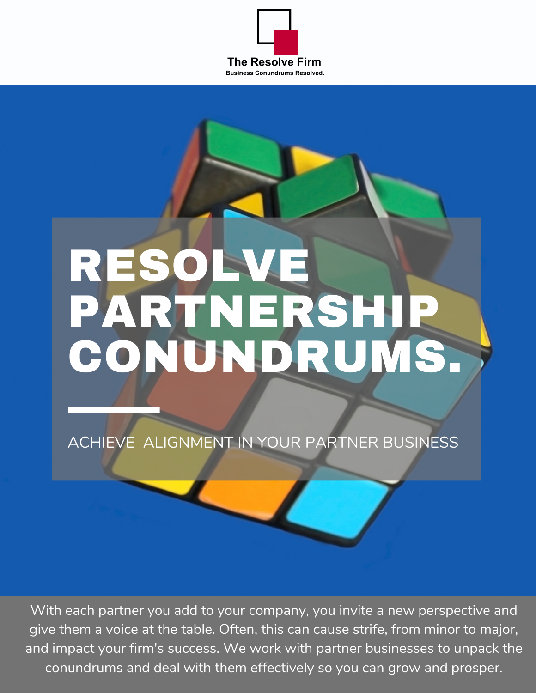

# RESOLVE PARTNERSHIP CONUNDRUMS.

ACHIEVE ALIGNMENT IN YOUR PARTNER BUSINESS

With each partner you add to your company, you invite a new perspective and give them a voice at the table. Often, this can cause strife, from minor to major, and impact your firm's success. We work with partner businesses to unpack the conundrums and deal with them effectively so you can grow and prosper.